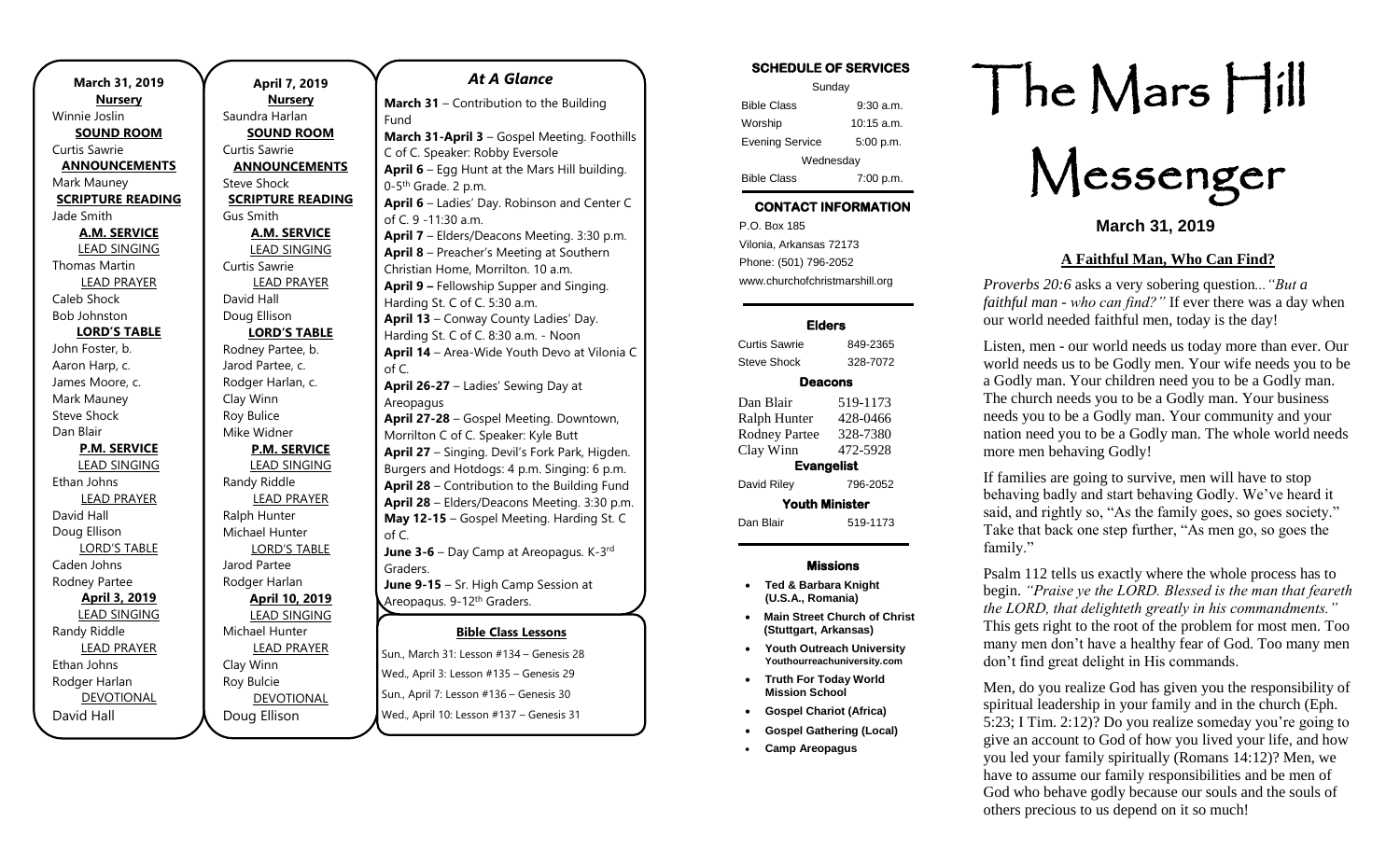| March 31, 2019           | April 7, 2019            |
|--------------------------|--------------------------|
| <b>Nursery</b>           | <u>Nursery</u>           |
| Winnie Joslin            | Saundra Harlan           |
| <b>SOUND ROOM</b>        | <b>SOUND ROOM</b>        |
| Curtis Sawrie            | Curtis Sawrie            |
| <b>ANNOUNCEMENTS</b>     | <b>ANNOUNCEMENTS</b>     |
| Mark Mauney              | <b>Steve Shock</b>       |
| <b>SCRIPTURE READING</b> | <b>SCRIPTURE READING</b> |
| Jade Smith               | <b>Gus Smith</b>         |
| <b>A.M. SERVICE</b>      | <b>A.M. SERVICE</b>      |
| <b>LEAD SINGING</b>      | <b>LEAD SINGING</b>      |
| <b>Thomas Martin</b>     | Curtis Sawrie            |
| <b>LEAD PRAYER</b>       | <b>LEAD PRAYER</b>       |
| Caleb Shock              | David Hall               |
| <b>Bob Johnston</b>      | Doug Ellison             |
| <b>LORD'S TABLE</b>      | <b>LORD'S TABLE</b>      |
| John Foster, b.          | Rodney Partee, b.        |
| Aaron Harp, c.           | Jarod Partee, c.         |
| James Moore, c.          | Rodger Harlan, c.        |
| Mark Mauney              | Clay Winn                |
| <b>Steve Shock</b>       | Roy Bulice               |
| Dan Blair                | Mike Widner              |
| <b>P.M. SERVICE</b>      | <b>P.M. SERVICE</b>      |
| <b>LEAD SINGING</b>      | <b>LEAD SINGING</b>      |
| Ethan Johns              | Randy Riddle             |
| <b>LEAD PRAYER</b>       | <b>LEAD PRAYER</b>       |
| David Hall               | Ralph Hunter             |
| Doug Ellison             | Michael Hunter           |
| <b>LORD'S TABLE</b>      | <b>LORD'S TABLE</b>      |
| Caden Johns              | Jarod Partee             |
| Rodney Partee            | Rodger Harlan            |
| <b>April 3, 2019</b>     | April 10, 2019           |
| <b>LEAD SINGING</b>      | <b>LEAD SINGING</b>      |
| Randy Riddle             | Michael Hunter           |
| <b>LEAD PRAYER</b>       | <b>LEAD PRAYER</b>       |
| Ethan Johns              | Clay Winn                |
| Rodger Harlan            | Roy Bulcie               |
| <b>DEVOTIONAL</b>        | <b>DEVOTIONAL</b>        |
| David Hall               | Doug Ellison             |

### **Bible Class Lessons** Sun., March 31: Lesson #134 – Genesis 28 wed., April 3: Lesson #135 – Genesis 29 sun., April 7: Lesson #136 – Genesis 30 *At A Glance*  **March 31** – Contribution to the Building Fund **March 31-April 3** – Gospel Meeting. Foothills C of C. Speaker: Robby Eversole **April 6** – Egg Hunt at the Mars Hill building. 0-5<sup>th</sup> Grade. 2 p.m. **April 6** – Ladies' Day. Robinson and Center C of C. 9 -11:30 a.m. **April 7** – Elders/Deacons Meeting. 3:30 p.m. **April 8** – Preacher's Meeting at Southern Christian Home, Morrilton. 10 a.m. **April 9 –** Fellowship Supper and Singing. Harding St. C of C. 5:30 a.m. **April 13** – Conway County Ladies' Day. Harding St. C of C. 8:30 a.m. - Noon **April 14** – Area-Wide Youth Devo at Vilonia C of C. **April 26-27** – Ladies' Sewing Day at Areopagus **April 27-28** – Gospel Meeting. Downtown, Morrilton C of C. Speaker: Kyle Butt **April 27** – Singing. Devil's Fork Park, Higden. Burgers and Hotdogs: 4 p.m. Singing: 6 p.m. **April 28** – Contribution to the Building Fund **April 28** – Elders/Deacons Meeting. 3:30 p.m. **May 12-15** – Gospel Meeting. Harding St. C of C. **June 3-6** – Day Camp at Areopagus. K-3<sup>rd</sup> Graders. **June 9-15** – Sr. High Camp Session at Areopagus. 9-12<sup>th</sup> Graders. **June 16-20** – Middle School Session at

Wed., April 10: Lesson #137 – Genesis 31  $S$ Cint, April 7. Lesson  $\#$  15

University Lectures. Theme: Fan the Flame

### **SCHEDULE OF SERVICES**

| Sunday                 |              |  |
|------------------------|--------------|--|
| <b>Bible Class</b>     | $9:30$ a.m.  |  |
| Worship                | $10:15$ a.m. |  |
| <b>Evening Service</b> | 5:00 p.m.    |  |
| Wednesday              |              |  |
| <b>Bible Class</b>     | 7:00 p.m.    |  |

### **CONTACT INFORMATION**

. .o. Box 166<br>Vilonia, Arkansas 72173 P.O. Box 185 Phone: (501) 796-2052 www.churchofchristmarshill.org

#### **Elders**

Curtis Sawrie 849-2365 Steve Shock 328-7072

### **Deacons**

| Dan Blair             | 519-1173 |  |
|-----------------------|----------|--|
| Ralph Hunter          | 428-0466 |  |
| <b>Rodney Partee</b>  | 328-7380 |  |
| Clay Winn             | 472-5928 |  |
| <b>Evangelist</b>     |          |  |
| David Riley           | 796-2052 |  |
| <b>Youth Minister</b> |          |  |
| Dan Blair             | 519-1173 |  |

### **Missions**

- **Ted & Barbara Knight (U.S.A., Romania)**
- **Main Street Church of Christ (Stuttgart, Arkansas)**
- **Youth Outreach University Youthourreachuniversity.com**
- **Truth For Today World Mission School**
- **Gospel Chariot (Africa)**
- **Gospel Gathering (Local)**
- **Camp Areopagus**

# The Mars Hill

Messenger

**March 31, 2019**

### **[A Faithful Man, Who Can Find?](http://bulletingoldextra.blogspot.com/2014/08/a-faithful-man-who-can-find.html)**

*Proverbs 20:6* asks a very sobering question*..."But a faithful man - who can find?"* If ever there was a day when our world needed faithful men, today is the day!

Listen, men - our world needs us today more than ever. Our world needs us to be Godly men. Your wife needs you to be a Godly man. Your children need you to be a Godly man. The church needs you to be a Godly man. Your business needs you to be a Godly man. Your community and your nation need you to be a Godly man. The whole world needs more men behaving Godly!

If families are going to survive, men will have to stop behaving badly and start behaving Godly. We've heard it said, and rightly so, "As the family goes, so goes society." Take that back one step further, "As men go, so goes the family."

Psalm 112 tells us exactly where the whole process has to begin. *"Praise ye the LORD. Blessed is the man that feareth the LORD, that delighteth greatly in his commandments."* This gets right to the root of the problem for most men. Too many men don't have a healthy fear of God. Too many men don't find great delight in His commands.

Men, do you realize God has given you the responsibility of spiritual leadership in your family and in the church (Eph. 5:23; I Tim. 2:12)? Do you realize someday you're going to give an account to God of how you lived your life, and how you led your family spiritually (Romans 14:12)? Men, we have to assume our family responsibilities and be men of God who behave godly because our souls and the souls of others precious to us depend on it so much!